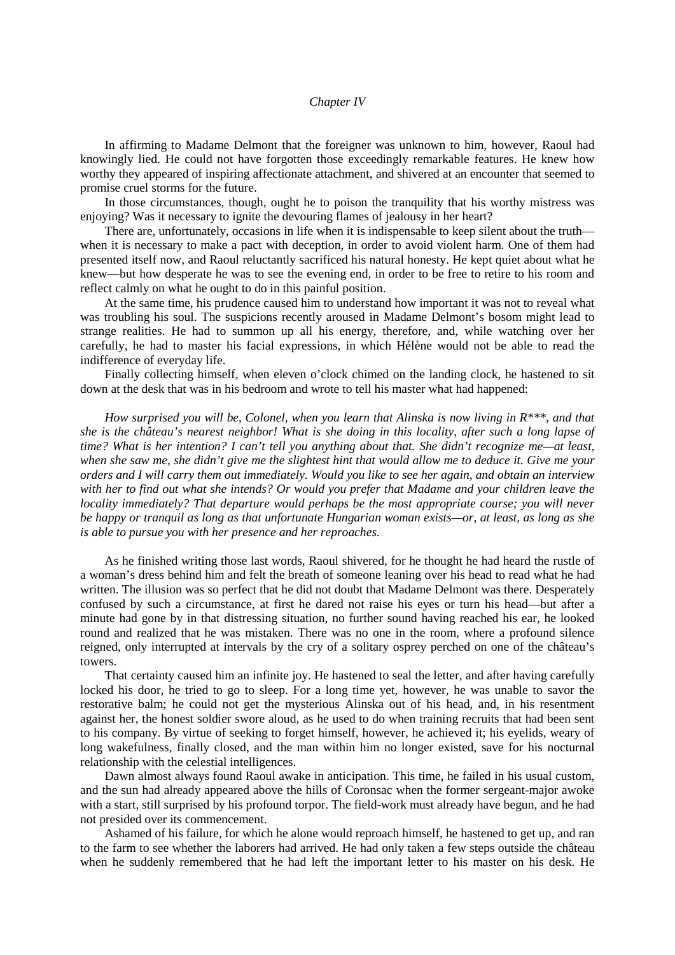## *Chapter IV*

In affirming to Madame Delmont that the foreigner was unknown to him, however, Raoul had knowingly lied. He could not have forgotten those exceedingly remarkable features. He knew how worthy they appeared of inspiring affectionate attachment, and shivered at an encounter that seemed to promise cruel storms for the future.

In those circumstances, though, ought he to poison the tranquility that his worthy mistress was enjoying? Was it necessary to ignite the devouring flames of jealousy in her heart?

There are, unfortunately, occasions in life when it is indispensable to keep silent about the truth when it is necessary to make a pact with deception, in order to avoid violent harm. One of them had presented itself now, and Raoul reluctantly sacrificed his natural honesty. He kept quiet about what he knew—but how desperate he was to see the evening end, in order to be free to retire to his room and reflect calmly on what he ought to do in this painful position.

At the same time, his prudence caused him to understand how important it was not to reveal what was troubling his soul. The suspicions recently aroused in Madame Delmont's bosom might lead to strange realities. He had to summon up all his energy, therefore, and, while watching over her carefully, he had to master his facial expressions, in which Hélène would not be able to read the indifference of everyday life.

Finally collecting himself, when eleven o'clock chimed on the landing clock, he hastened to sit down at the desk that was in his bedroom and wrote to tell his master what had happened:

*How surprised you will be, Colonel, when you learn that Alinska is now living in R\*\*\*, and that she is the château's nearest neighbor! What is she doing in this locality, after such a long lapse of time? What is her intention? I can't tell you anything about that. She didn't recognize me—at least, when she saw me, she didn't give me the slightest hint that would allow me to deduce it. Give me your orders and I will carry them out immediately. Would you like to see her again, and obtain an interview with her to find out what she intends? Or would you prefer that Madame and your children leave the locality immediately? That departure would perhaps be the most appropriate course; you will never be happy or tranquil as long as that unfortunate Hungarian woman exists—or, at least, as long as she is able to pursue you with her presence and her reproaches.*

As he finished writing those last words, Raoul shivered, for he thought he had heard the rustle of a woman's dress behind him and felt the breath of someone leaning over his head to read what he had written. The illusion was so perfect that he did not doubt that Madame Delmont was there. Desperately confused by such a circumstance, at first he dared not raise his eyes or turn his head—but after a minute had gone by in that distressing situation, no further sound having reached his ear, he looked round and realized that he was mistaken. There was no one in the room, where a profound silence reigned, only interrupted at intervals by the cry of a solitary osprey perched on one of the château's towers.

That certainty caused him an infinite joy. He hastened to seal the letter, and after having carefully locked his door, he tried to go to sleep. For a long time yet, however, he was unable to savor the restorative balm; he could not get the mysterious Alinska out of his head, and, in his resentment against her, the honest soldier swore aloud, as he used to do when training recruits that had been sent to his company. By virtue of seeking to forget himself, however, he achieved it; his eyelids, weary of long wakefulness, finally closed, and the man within him no longer existed, save for his nocturnal relationship with the celestial intelligences.

Dawn almost always found Raoul awake in anticipation. This time, he failed in his usual custom, and the sun had already appeared above the hills of Coronsac when the former sergeant-major awoke with a start, still surprised by his profound torpor. The field-work must already have begun, and he had not presided over its commencement.

Ashamed of his failure, for which he alone would reproach himself, he hastened to get up, and ran to the farm to see whether the laborers had arrived. He had only taken a few steps outside the château when he suddenly remembered that he had left the important letter to his master on his desk. He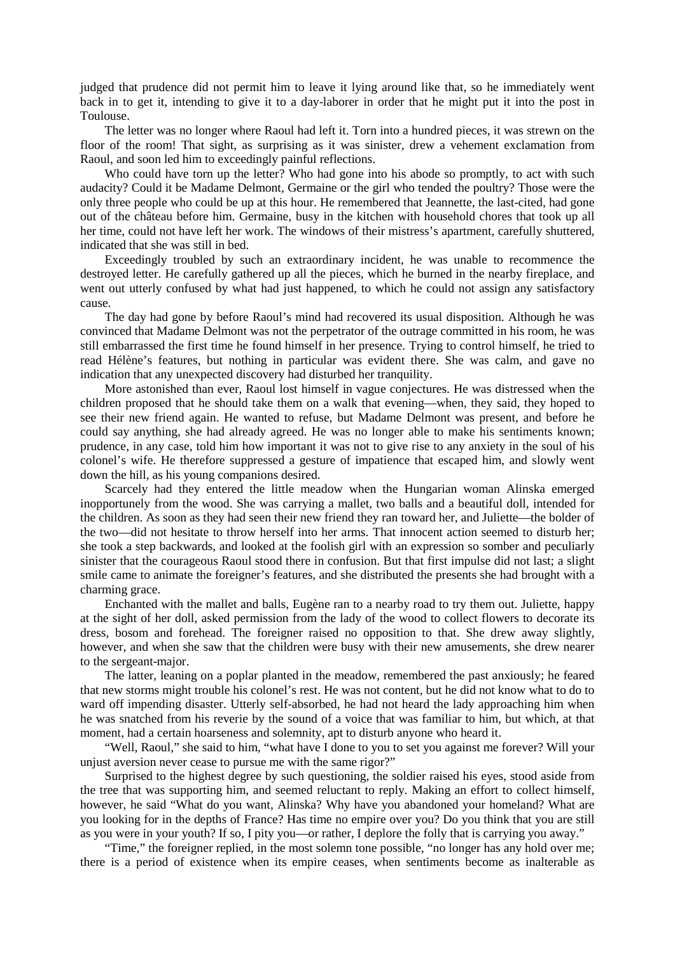judged that prudence did not permit him to leave it lying around like that, so he immediately went back in to get it, intending to give it to a day-laborer in order that he might put it into the post in Toulouse.

The letter was no longer where Raoul had left it. Torn into a hundred pieces, it was strewn on the floor of the room! That sight, as surprising as it was sinister, drew a vehement exclamation from Raoul, and soon led him to exceedingly painful reflections.

Who could have torn up the letter? Who had gone into his abode so promptly, to act with such audacity? Could it be Madame Delmont, Germaine or the girl who tended the poultry? Those were the only three people who could be up at this hour. He remembered that Jeannette, the last-cited, had gone out of the château before him. Germaine, busy in the kitchen with household chores that took up all her time, could not have left her work. The windows of their mistress's apartment, carefully shuttered, indicated that she was still in bed.

Exceedingly troubled by such an extraordinary incident, he was unable to recommence the destroyed letter. He carefully gathered up all the pieces, which he burned in the nearby fireplace, and went out utterly confused by what had just happened, to which he could not assign any satisfactory cause.

The day had gone by before Raoul's mind had recovered its usual disposition. Although he was convinced that Madame Delmont was not the perpetrator of the outrage committed in his room, he was still embarrassed the first time he found himself in her presence. Trying to control himself, he tried to read Hélène's features, but nothing in particular was evident there. She was calm, and gave no indication that any unexpected discovery had disturbed her tranquility.

More astonished than ever, Raoul lost himself in vague conjectures. He was distressed when the children proposed that he should take them on a walk that evening—when, they said, they hoped to see their new friend again. He wanted to refuse, but Madame Delmont was present, and before he could say anything, she had already agreed. He was no longer able to make his sentiments known; prudence, in any case, told him how important it was not to give rise to any anxiety in the soul of his colonel's wife. He therefore suppressed a gesture of impatience that escaped him, and slowly went down the hill, as his young companions desired.

Scarcely had they entered the little meadow when the Hungarian woman Alinska emerged inopportunely from the wood. She was carrying a mallet, two balls and a beautiful doll, intended for the children. As soon as they had seen their new friend they ran toward her, and Juliette—the bolder of the two—did not hesitate to throw herself into her arms. That innocent action seemed to disturb her; she took a step backwards, and looked at the foolish girl with an expression so somber and peculiarly sinister that the courageous Raoul stood there in confusion. But that first impulse did not last; a slight smile came to animate the foreigner's features, and she distributed the presents she had brought with a charming grace.

Enchanted with the mallet and balls, Eugène ran to a nearby road to try them out. Juliette, happy at the sight of her doll, asked permission from the lady of the wood to collect flowers to decorate its dress, bosom and forehead. The foreigner raised no opposition to that. She drew away slightly, however, and when she saw that the children were busy with their new amusements, she drew nearer to the sergeant-major.

The latter, leaning on a poplar planted in the meadow, remembered the past anxiously; he feared that new storms might trouble his colonel's rest. He was not content, but he did not know what to do to ward off impending disaster. Utterly self-absorbed, he had not heard the lady approaching him when he was snatched from his reverie by the sound of a voice that was familiar to him, but which, at that moment, had a certain hoarseness and solemnity, apt to disturb anyone who heard it.

"Well, Raoul," she said to him, "what have I done to you to set you against me forever? Will your unjust aversion never cease to pursue me with the same rigor?"

Surprised to the highest degree by such questioning, the soldier raised his eyes, stood aside from the tree that was supporting him, and seemed reluctant to reply. Making an effort to collect himself, however, he said "What do you want, Alinska? Why have you abandoned your homeland? What are you looking for in the depths of France? Has time no empire over you? Do you think that you are still as you were in your youth? If so, I pity you—or rather, I deplore the folly that is carrying you away."

"Time," the foreigner replied, in the most solemn tone possible, "no longer has any hold over me; there is a period of existence when its empire ceases, when sentiments become as inalterable as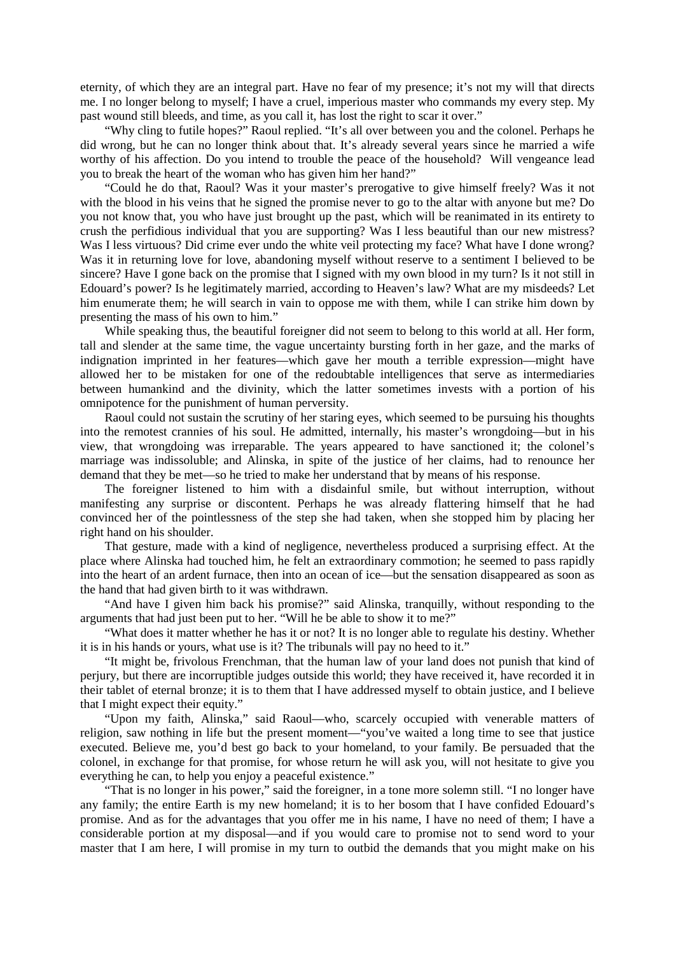eternity, of which they are an integral part. Have no fear of my presence; it's not my will that directs me. I no longer belong to myself; I have a cruel, imperious master who commands my every step. My past wound still bleeds, and time, as you call it, has lost the right to scar it over."

"Why cling to futile hopes?" Raoul replied. "It's all over between you and the colonel. Perhaps he did wrong, but he can no longer think about that. It's already several years since he married a wife worthy of his affection. Do you intend to trouble the peace of the household? Will vengeance lead you to break the heart of the woman who has given him her hand?"

"Could he do that, Raoul? Was it your master's prerogative to give himself freely? Was it not with the blood in his veins that he signed the promise never to go to the altar with anyone but me? Do you not know that, you who have just brought up the past, which will be reanimated in its entirety to crush the perfidious individual that you are supporting? Was I less beautiful than our new mistress? Was I less virtuous? Did crime ever undo the white veil protecting my face? What have I done wrong? Was it in returning love for love, abandoning myself without reserve to a sentiment I believed to be sincere? Have I gone back on the promise that I signed with my own blood in my turn? Is it not still in Edouard's power? Is he legitimately married, according to Heaven's law? What are my misdeeds? Let him enumerate them; he will search in vain to oppose me with them, while I can strike him down by presenting the mass of his own to him."

While speaking thus, the beautiful foreigner did not seem to belong to this world at all. Her form, tall and slender at the same time, the vague uncertainty bursting forth in her gaze, and the marks of indignation imprinted in her features—which gave her mouth a terrible expression—might have allowed her to be mistaken for one of the redoubtable intelligences that serve as intermediaries between humankind and the divinity, which the latter sometimes invests with a portion of his omnipotence for the punishment of human perversity.

Raoul could not sustain the scrutiny of her staring eyes, which seemed to be pursuing his thoughts into the remotest crannies of his soul. He admitted, internally, his master's wrongdoing—but in his view, that wrongdoing was irreparable. The years appeared to have sanctioned it; the colonel's marriage was indissoluble; and Alinska, in spite of the justice of her claims, had to renounce her demand that they be met—so he tried to make her understand that by means of his response.

The foreigner listened to him with a disdainful smile, but without interruption, without manifesting any surprise or discontent. Perhaps he was already flattering himself that he had convinced her of the pointlessness of the step she had taken, when she stopped him by placing her right hand on his shoulder.

That gesture, made with a kind of negligence, nevertheless produced a surprising effect. At the place where Alinska had touched him, he felt an extraordinary commotion; he seemed to pass rapidly into the heart of an ardent furnace, then into an ocean of ice—but the sensation disappeared as soon as the hand that had given birth to it was withdrawn.

"And have I given him back his promise?" said Alinska, tranquilly, without responding to the arguments that had just been put to her. "Will he be able to show it to me?"

"What does it matter whether he has it or not? It is no longer able to regulate his destiny. Whether it is in his hands or yours, what use is it? The tribunals will pay no heed to it."

"It might be, frivolous Frenchman, that the human law of your land does not punish that kind of perjury, but there are incorruptible judges outside this world; they have received it, have recorded it in their tablet of eternal bronze; it is to them that I have addressed myself to obtain justice, and I believe that I might expect their equity."

"Upon my faith, Alinska," said Raoul—who, scarcely occupied with venerable matters of religion, saw nothing in life but the present moment—"you've waited a long time to see that justice executed. Believe me, you'd best go back to your homeland, to your family. Be persuaded that the colonel, in exchange for that promise, for whose return he will ask you, will not hesitate to give you everything he can, to help you enjoy a peaceful existence."

"That is no longer in his power," said the foreigner, in a tone more solemn still. "I no longer have any family; the entire Earth is my new homeland; it is to her bosom that I have confided Edouard's promise. And as for the advantages that you offer me in his name, I have no need of them; I have a considerable portion at my disposal—and if you would care to promise not to send word to your master that I am here, I will promise in my turn to outbid the demands that you might make on his